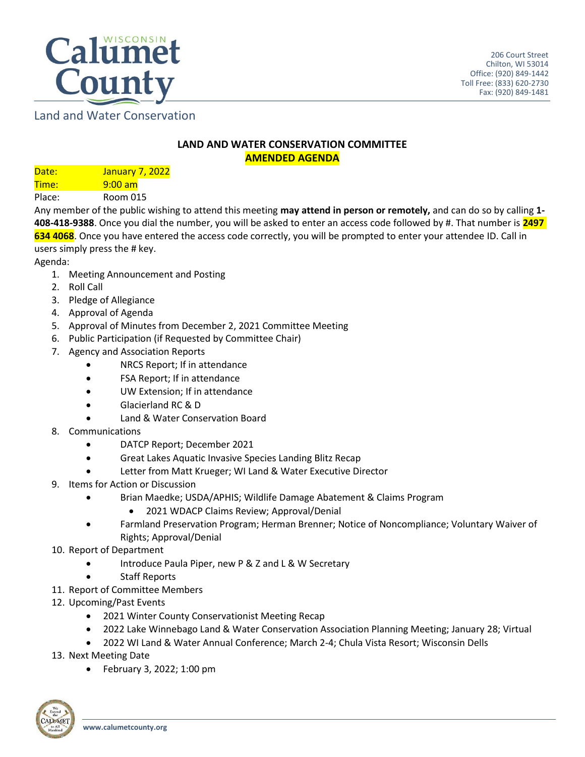

Land and Water Conservation

## **LAND AND WATER CONSERVATION COMMITTEE AMENDED AGENDA**

Date: January 7, 2022 Time: 9:00 am Place: Room 015

Any member of the public wishing to attend this meeting **may attend in person or remotely,** and can do so by calling **1- 408-418-9388**. Once you dial the number, you will be asked to enter an access code followed by #. That number is **2497 634 4068**. Once you have entered the access code correctly, you will be prompted to enter your attendee ID. Call in users simply press the # key.

Agenda:

- 1. Meeting Announcement and Posting
- 2. Roll Call
- 3. Pledge of Allegiance
- 4. Approval of Agenda
- 5. Approval of Minutes from December 2, 2021 Committee Meeting
- 6. Public Participation (if Requested by Committee Chair)
- 7. Agency and Association Reports
	- NRCS Report; If in attendance
	- FSA Report; If in attendance
	- UW Extension; If in attendance
	- Glacierland RC & D
	- Land & Water Conservation Board
- 8. Communications
	- DATCP Report; December 2021
	- Great Lakes Aquatic Invasive Species Landing Blitz Recap
	- Letter from Matt Krueger; WI Land & Water Executive Director
- 9. Items for Action or Discussion
	- Brian Maedke; USDA/APHIS; Wildlife Damage Abatement & Claims Program
		- 2021 WDACP Claims Review; Approval/Denial
	- Farmland Preservation Program; Herman Brenner; Notice of Noncompliance; Voluntary Waiver of Rights; Approval/Denial
- 10. Report of Department
	- Introduce Paula Piper, new P & Z and L & W Secretary
	- Staff Reports
- 11. Report of Committee Members
- 12. Upcoming/Past Events
	- 2021 Winter County Conservationist Meeting Recap
	- 2022 Lake Winnebago Land & Water Conservation Association Planning Meeting; January 28; Virtual
	- 2022 WI Land & Water Annual Conference; March 2-4; Chula Vista Resort; Wisconsin Dells
- 13. Next Meeting Date
	- February 3, 2022; 1:00 pm